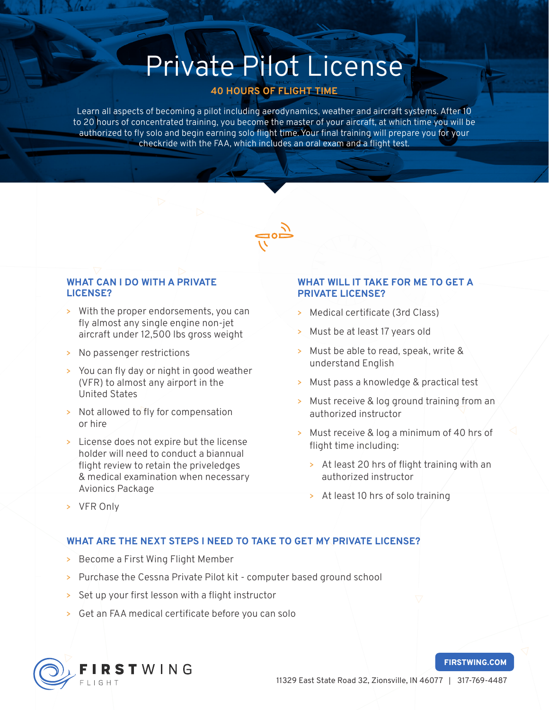# Private Pilot License

### 40 HOURS OF FLIGHT TIME

Learn all aspects of becoming a pilot including aerodynamics, weather and aircraft systems. After 10 to 20 hours of concentrated training, you become the master of your aircraft, at which time you will be authorized to fly solo and begin earning solo flight time. Your final training will prepare you for your checkride with the FAA, which includes an oral exam and a flight test.



#### WHAT CAN I DO WITH A PRIVATE LICENSE?

- > With the proper endorsements, you can fly almost any single engine non-jet aircraft under 12,500 lbs gross weight
- > No passenger restrictions
- > You can fly day or night in good weather (VFR) to almost any airport in the United States
- > Not allowed to fly for compensation or hire
- > License does not expire but the license holder will need to conduct a biannual flight review to retain the priveledges & medical examination when necessary Avionics Package

#### WHAT WILL IT TAKE FOR ME TO GET A PRIVATE LICENSE?

- > Medical certificate (3rd Class)
- > Must be at least 17 years old
- > Must be able to read, speak, write & understand English
- > Must pass a knowledge & practical test
- > Must receive & log ground training from an authorized instructor
- > Must receive & log a minimum of 40 hrs of flight time including:
	- > At least 20 hrs of flight training with an authorized instructor
	- > At least 10 hrs of solo training

> VFR Only

#### WHAT ARE THE NEXT STEPS I NEED TO TAKE TO GET MY PRIVATE LICENSE?

- > Become a First Wing Flight Member
- > Purchase the Cessna Private Pilot kit computer based ground school
- > Set up your first lesson with a flight instructor
- > Get an FAA medical certificate before you can solo



#### FIRSTWING.COM